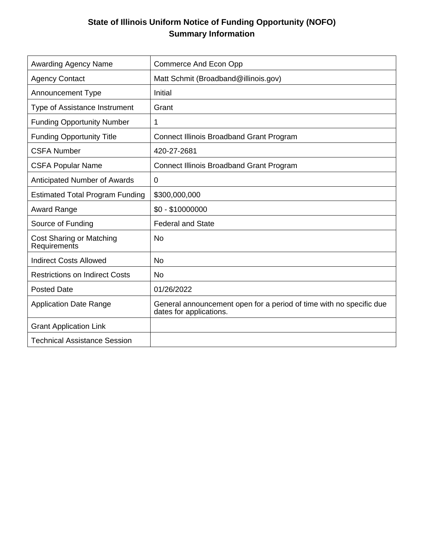# **State of Illinois Uniform Notice of Funding Opportunity (NOFO) Summary Information**

| <b>Awarding Agency Name</b>              | <b>Commerce And Econ Opp</b>                                                                   |
|------------------------------------------|------------------------------------------------------------------------------------------------|
| <b>Agency Contact</b>                    | Matt Schmit (Broadband@illinois.gov)                                                           |
| <b>Announcement Type</b>                 | Initial                                                                                        |
| Type of Assistance Instrument            | Grant                                                                                          |
| <b>Funding Opportunity Number</b>        | 1                                                                                              |
| <b>Funding Opportunity Title</b>         | <b>Connect Illinois Broadband Grant Program</b>                                                |
| <b>CSFA Number</b>                       | 420-27-2681                                                                                    |
| <b>CSFA Popular Name</b>                 | <b>Connect Illinois Broadband Grant Program</b>                                                |
| Anticipated Number of Awards             | $\mathbf 0$                                                                                    |
| <b>Estimated Total Program Funding</b>   | \$300,000,000                                                                                  |
| <b>Award Range</b>                       | $$0 - $10000000$                                                                               |
| Source of Funding                        | <b>Federal and State</b>                                                                       |
| Cost Sharing or Matching<br>Requirements | <b>No</b>                                                                                      |
| <b>Indirect Costs Allowed</b>            | <b>No</b>                                                                                      |
| <b>Restrictions on Indirect Costs</b>    | <b>No</b>                                                                                      |
| <b>Posted Date</b>                       | 01/26/2022                                                                                     |
| <b>Application Date Range</b>            | General announcement open for a period of time with no specific due<br>dates for applications. |
| <b>Grant Application Link</b>            |                                                                                                |
| <b>Technical Assistance Session</b>      |                                                                                                |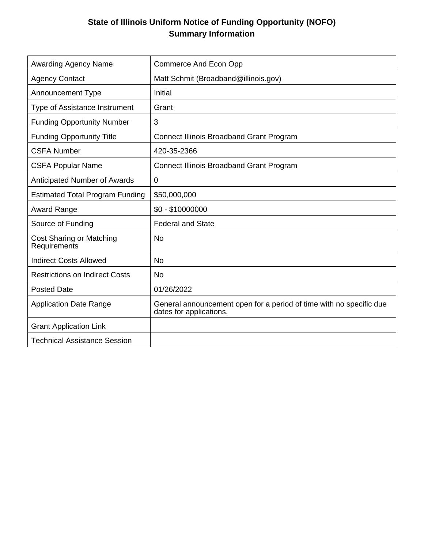# **State of Illinois Uniform Notice of Funding Opportunity (NOFO) Summary Information**

| <b>Awarding Agency Name</b>              | <b>Commerce And Econ Opp</b>                                                                   |
|------------------------------------------|------------------------------------------------------------------------------------------------|
| <b>Agency Contact</b>                    | Matt Schmit (Broadband@illinois.gov)                                                           |
| <b>Announcement Type</b>                 | Initial                                                                                        |
| Type of Assistance Instrument            | Grant                                                                                          |
| <b>Funding Opportunity Number</b>        | 3                                                                                              |
| <b>Funding Opportunity Title</b>         | <b>Connect Illinois Broadband Grant Program</b>                                                |
| <b>CSFA Number</b>                       | 420-35-2366                                                                                    |
| <b>CSFA Popular Name</b>                 | <b>Connect Illinois Broadband Grant Program</b>                                                |
| Anticipated Number of Awards             | $\mathbf 0$                                                                                    |
| <b>Estimated Total Program Funding</b>   | \$50,000,000                                                                                   |
| <b>Award Range</b>                       | $$0 - $10000000$                                                                               |
| Source of Funding                        | <b>Federal and State</b>                                                                       |
| Cost Sharing or Matching<br>Requirements | <b>No</b>                                                                                      |
| <b>Indirect Costs Allowed</b>            | <b>No</b>                                                                                      |
| <b>Restrictions on Indirect Costs</b>    | <b>No</b>                                                                                      |
| <b>Posted Date</b>                       | 01/26/2022                                                                                     |
| <b>Application Date Range</b>            | General announcement open for a period of time with no specific due<br>dates for applications. |
| <b>Grant Application Link</b>            |                                                                                                |
| <b>Technical Assistance Session</b>      |                                                                                                |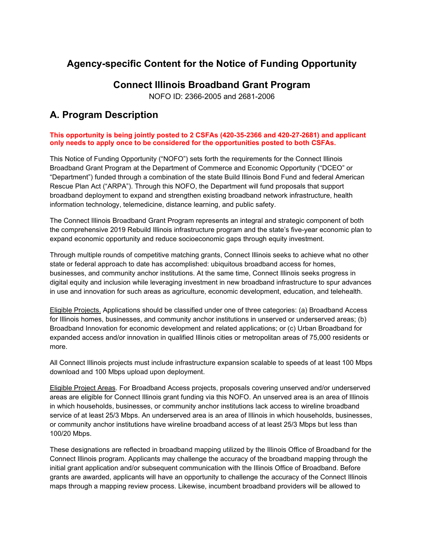# **Agency-specific Content for the Notice of Funding Opportunity**

## **Connect Illinois Broadband Grant Program**

NOFO ID: 2366-2005 and 2681-2006

# **A. Program Description**

#### **This opportunity is being jointly posted to 2 CSFAs (420-35-2366 and 420-27-2681) and applicant only needs to apply once to be considered for the opportunities posted to both CSFAs.**

This Notice of Funding Opportunity ("NOFO") sets forth the requirements for the Connect Illinois Broadband Grant Program at the Department of Commerce and Economic Opportunity ("DCEO" or "Department") funded through a combination of the state Build Illinois Bond Fund and federal American Rescue Plan Act ("ARPA"). Through this NOFO, the Department will fund proposals that support broadband deployment to expand and strengthen existing broadband network infrastructure, health information technology, telemedicine, distance learning, and public safety.

The Connect Illinois Broadband Grant Program represents an integral and strategic component of both the comprehensive 2019 Rebuild Illinois infrastructure program and the state's five-year economic plan to expand economic opportunity and reduce socioeconomic gaps through equity investment.

Through multiple rounds of competitive matching grants, Connect Illinois seeks to achieve what no other state or federal approach to date has accomplished: ubiquitous broadband access for homes, businesses, and community anchor institutions. At the same time, Connect Illinois seeks progress in digital equity and inclusion while leveraging investment in new broadband infrastructure to spur advances in use and innovation for such areas as agriculture, economic development, education, and telehealth.

Eligible Projects. Applications should be classified under one of three categories: (a) Broadband Access for Illinois homes, businesses, and community anchor institutions in unserved or underserved areas; (b) Broadband Innovation for economic development and related applications; or (c) Urban Broadband for expanded access and/or innovation in qualified Illinois cities or metropolitan areas of 75,000 residents or more.

All Connect Illinois projects must include infrastructure expansion scalable to speeds of at least 100 Mbps download and 100 Mbps upload upon deployment.

Eligible Project Areas. For Broadband Access projects, proposals covering unserved and/or underserved areas are eligible for Connect Illinois grant funding via this NOFO. An unserved area is an area of Illinois in which households, businesses, or community anchor institutions lack access to wireline broadband service of at least 25/3 Mbps. An underserved area is an area of Illinois in which households, businesses, or community anchor institutions have wireline broadband access of at least 25/3 Mbps but less than 100/20 Mbps.

These designations are reflected in broadband mapping utilized by the Illinois Office of Broadband for the Connect Illinois program. Applicants may challenge the accuracy of the broadband mapping through the initial grant application and/or subsequent communication with the Illinois Office of Broadband. Before grants are awarded, applicants will have an opportunity to challenge the accuracy of the Connect Illinois maps through a mapping review process. Likewise, incumbent broadband providers will be allowed to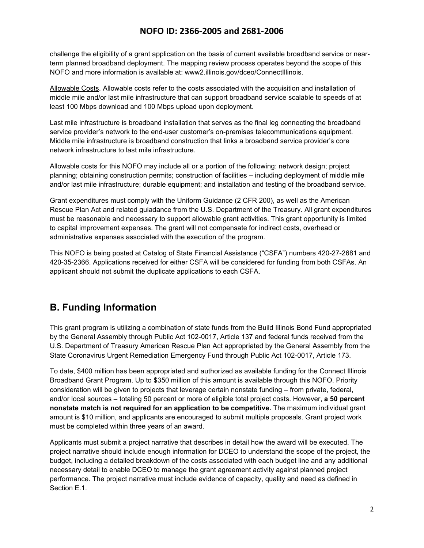challenge the eligibility of a grant application on the basis of current available broadband service or nearterm planned broadband deployment. The mapping review process operates beyond the scope of this NOFO and more information is available at: www2.illinois.gov/dceo/ConnectIllinois.

Allowable Costs. Allowable costs refer to the costs associated with the acquisition and installation of middle mile and/or last mile infrastructure that can support broadband service scalable to speeds of at least 100 Mbps download and 100 Mbps upload upon deployment.

Last mile infrastructure is broadband installation that serves as the final leg connecting the broadband service provider's network to the end-user customer's on-premises telecommunications equipment. Middle mile infrastructure is broadband construction that links a broadband service provider's core network infrastructure to last mile infrastructure.

Allowable costs for this NOFO may include all or a portion of the following: network design; project planning; obtaining construction permits; construction of facilities – including deployment of middle mile and/or last mile infrastructure; durable equipment; and installation and testing of the broadband service.

Grant expenditures must comply with the Uniform Guidance (2 CFR 200), as well as the American Rescue Plan Act and related guiadance from the U.S. Department of the Treasury. All grant expenditures must be reasonable and necessary to support allowable grant activities. This grant opportunity is limited to capital improvement expenses. The grant will not compensate for indirect costs, overhead or administrative expenses associated with the execution of the program.

This NOFO is being posted at Catalog of State Financial Assistance ("CSFA") numbers 420-27-2681 and 420-35-2366. Applications received for either CSFA will be considered for funding from both CSFAs. An applicant should not submit the duplicate applications to each CSFA.

# **B. Funding Information**

This grant program is utilizing a combination of state funds from the Build Illinois Bond Fund appropriated by the General Assembly through Public Act 102-0017, Article 137 and federal funds received from the U.S. Department of Treasury American Rescue Plan Act appropriated by the General Assembly from the State Coronavirus Urgent Remediation Emergency Fund through Public Act 102-0017, Article 173.

To date, \$400 million has been appropriated and authorized as available funding for the Connect Illinois Broadband Grant Program. Up to \$350 million of this amount is available through this NOFO. Priority consideration will be given to projects that leverage certain nonstate funding – from private, federal, and/or local sources – totaling 50 percent or more of eligible total project costs. However, **a 50 percent nonstate match is not required for an application to be competitive.** The maximum individual grant amount is \$10 million, and applicants are encouraged to submit multiple proposals. Grant project work must be completed within three years of an award.

Applicants must submit a project narrative that describes in detail how the award will be executed. The project narrative should include enough information for DCEO to understand the scope of the project, the budget, including a detailed breakdown of the costs associated with each budget line and any additional necessary detail to enable DCEO to manage the grant agreement activity against planned project performance. The project narrative must include evidence of capacity, quality and need as defined in Section E.1.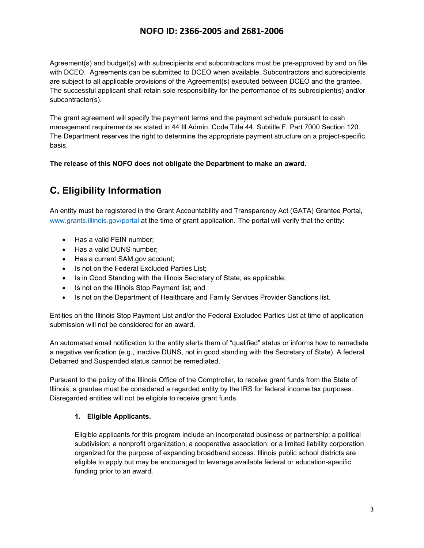Agreement(s) and budget(s) with subrecipients and subcontractors must be pre-approved by and on file with DCEO. Agreements can be submitted to DCEO when available. Subcontractors and subrecipients are subject to all applicable provisions of the Agreement(s) executed between DCEO and the grantee. The successful applicant shall retain sole responsibility for the performance of its subrecipient(s) and/or subcontractor(s).

The grant agreement will specify the payment terms and the payment schedule pursuant to cash management requirements as stated in 44 Ill Admin. Code Title 44, Subtitle F, Part 7000 Section 120. The Department reserves the right to determine the appropriate payment structure on a project-specific basis.

**The release of this NOFO does not obligate the Department to make an award.**

# **C. Eligibility Information**

An entity must be registered in the Grant Accountability and Transparency Act (GATA) Grantee Portal, www.grants.illinois.gov/portal at the time of grant application. The portal will verify that the entity:

- Has a valid FEIN number;
- Has a valid DUNS number;
- Has a current SAM.gov account;
- Is not on the Federal Excluded Parties List;
- Is in Good Standing with the Illinois Secretary of State, as applicable;
- Is not on the Illinois Stop Payment list; and
- Is not on the Department of Healthcare and Family Services Provider Sanctions list.

Entities on the Illinois Stop Payment List and/or the Federal Excluded Parties List at time of application submission will not be considered for an award.

An automated email notification to the entity alerts them of "qualified" status or informs how to remediate a negative verification (e.g., inactive DUNS, not in good standing with the Secretary of State). A federal Debarred and Suspended status cannot be remediated.

Pursuant to the policy of the Illinois Office of the Comptroller, to receive grant funds from the State of Illinois, a grantee must be considered a regarded entity by the IRS for federal income tax purposes. Disregarded entities will not be eligible to receive grant funds.

#### **1. Eligible Applicants.**

Eligible applicants for this program include an incorporated business or partnership; a political subdivision; a nonprofit organization; a cooperative association; or a limited liability corporation organized for the purpose of expanding broadband access. Illinois public school districts are eligible to apply but may be encouraged to leverage available federal or education-specific funding prior to an award.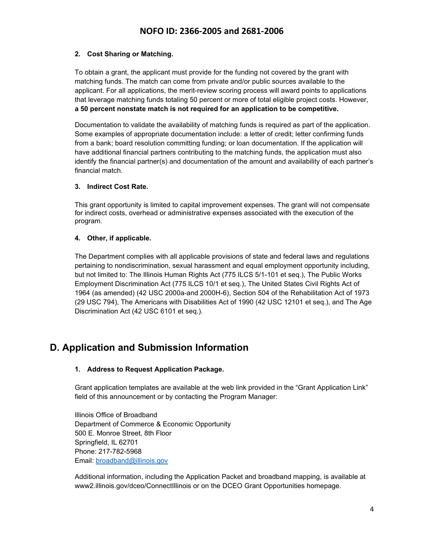#### **2. Cost Sharing or Matching.**

To obtain a grant, the applicant must provide for the funding not covered by the grant with matching funds. The match can come from private and/or public sources available to the applicant. For all applications, the merit-review scoring process will award points to applications that leverage matching funds totaling 50 percent or more of total eligible project costs. However, **a 50 percent nonstate match is not required for an application to be competitive.**

Documentation to validate the availability of matching funds is required as part of the application. Some examples of appropriate documentation include: a letter of credit; letter confirming funds from a bank; board resolution committing funding; or loan documentation. If the application will have additional financial partners contributing to the matching funds, the application must also identify the financial partner(s) and documentation of the amount and availability of each partner's financial match.

#### **3. Indirect Cost Rate.**

This grant opportunity is limited to capital improvement expenses. The grant will not compensate for indirect costs, overhead or administrative expenses associated with the execution of the program.

#### **4. Other, if applicable.**

The Department complies with all applicable provisions of state and federal laws and regulations pertaining to nondiscrimination, sexual harassment and equal employment opportunity including, but not limited to: The Illinois Human Rights Act (775 ILCS 5/1-101 et seq.), The Public Works Employment Discrimination Act (775 ILCS 10/1 et seq.), The United States Civil Rights Act of 1964 (as amended) (42 USC 2000a-and 2000H-6), Section 504 of the Rehabilitation Act of 1973 (29 USC 794), The Americans with Disabilities Act of 1990 (42 USC 12101 et seq.), and The Age Discrimination Act (42 USC 6101 et seq.).

## **D. Application and Submission Information**

#### **1. Address to Request Application Package.**

Grant application templates are available at the web link provided in the "Grant Application Link" field of this announcement or by contacting the Program Manager:

Illinois Office of Broadband Department of Commerce & Economic Opportunity 500 E. Monroe Street, 8th Floor Springfield, IL 62701 Phone: 217-782-5968 Email: broadband@illinois.gov

Additional information, including the Application Packet and broadband mapping, is available at www2.illinois.gov/dceo/ConnectIllinois or on the DCEO Grant Opportunities homepage.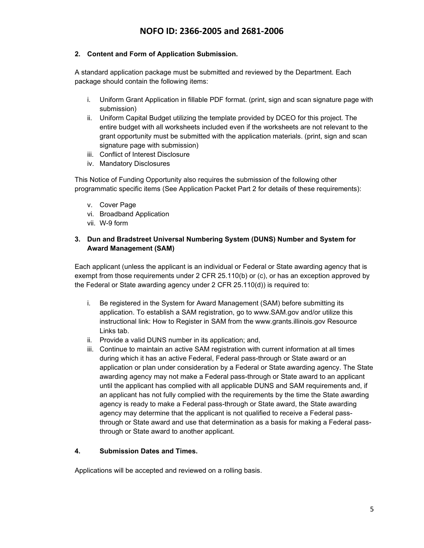#### **2. Content and Form of Application Submission.**

A standard application package must be submitted and reviewed by the Department. Each package should contain the following items:

- i. Uniform Grant Application in fillable PDF format. (print, sign and scan signature page with submission)
- ii. Uniform Capital Budget utilizing the template provided by DCEO for this project. The entire budget with all worksheets included even if the worksheets are not relevant to the grant opportunity must be submitted with the application materials. (print, sign and scan signature page with submission)
- iii. Conflict of Interest Disclosure
- iv. Mandatory Disclosures

This Notice of Funding Opportunity also requires the submission of the following other programmatic specific items (See Application Packet Part 2 for details of these requirements):

- v. Cover Page
- vi. Broadband Application
- vii. W-9 form

#### **3. Dun and Bradstreet Universal Numbering System (DUNS) Number and System for Award Management (SAM)**

Each applicant (unless the applicant is an individual or Federal or State awarding agency that is exempt from those requirements under 2 CFR 25.110(b) or (c), or has an exception approved by the Federal or State awarding agency under 2 CFR 25.110(d)) is required to:

- i. Be registered in the System for Award Management (SAM) before submitting its application. To establish a SAM registration, go to www.SAM.gov and/or utilize this instructional link: How to Register in SAM from the www.grants.illinois.gov Resource Links tab.
- ii. Provide a valid DUNS number in its application; and,
- iii. Continue to maintain an active SAM registration with current information at all times during which it has an active Federal, Federal pass-through or State award or an application or plan under consideration by a Federal or State awarding agency. The State awarding agency may not make a Federal pass-through or State award to an applicant until the applicant has complied with all applicable DUNS and SAM requirements and, if an applicant has not fully complied with the requirements by the time the State awarding agency is ready to make a Federal pass-through or State award, the State awarding agency may determine that the applicant is not qualified to receive a Federal passthrough or State award and use that determination as a basis for making a Federal passthrough or State award to another applicant.

#### **4. Submission Dates and Times.**

Applications will be accepted and reviewed on a rolling basis.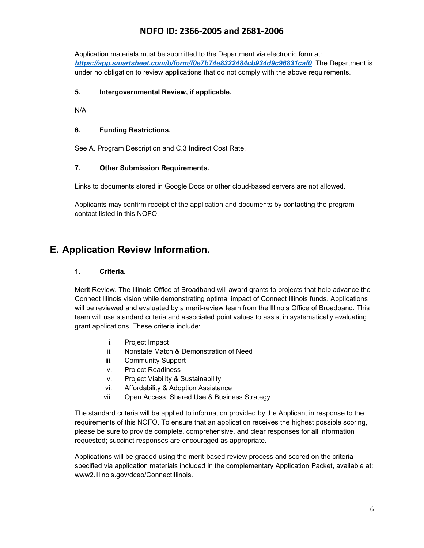Application materials must be submitted to the Department via electronic form at: *https://app.smartsheet.com/b/form/f0e7b74e8322484cb934d9c96831caf0*. The Department is under no obligation to review applications that do not comply with the above requirements.

#### **5. Intergovernmental Review, if applicable.**

N/A

#### **6. Funding Restrictions.**

See A. Program Description and C.3 Indirect Cost Rate.

#### **7. Other Submission Requirements.**

Links to documents stored in Google Docs or other cloud-based servers are not allowed.

Applicants may confirm receipt of the application and documents by contacting the program contact listed in this NOFO*.*

## **E. Application Review Information.**

#### **1. Criteria.**

Merit Review. The Illinois Office of Broadband will award grants to projects that help advance the Connect Illinois vision while demonstrating optimal impact of Connect Illinois funds. Applications will be reviewed and evaluated by a merit-review team from the Illinois Office of Broadband. This team will use standard criteria and associated point values to assist in systematically evaluating grant applications. These criteria include:

- i. Project Impact
- ii. Nonstate Match & Demonstration of Need
- iii. Community Support
- iv. Project Readiness
- v. Project Viability & Sustainability
- vi. Affordability & Adoption Assistance
- vii. Open Access, Shared Use & Business Strategy

The standard criteria will be applied to information provided by the Applicant in response to the requirements of this NOFO. To ensure that an application receives the highest possible scoring, please be sure to provide complete, comprehensive, and clear responses for all information requested; succinct responses are encouraged as appropriate.

Applications will be graded using the merit-based review process and scored on the criteria specified via application materials included in the complementary Application Packet, available at: www2.illinois.gov/dceo/ConnectIllinois.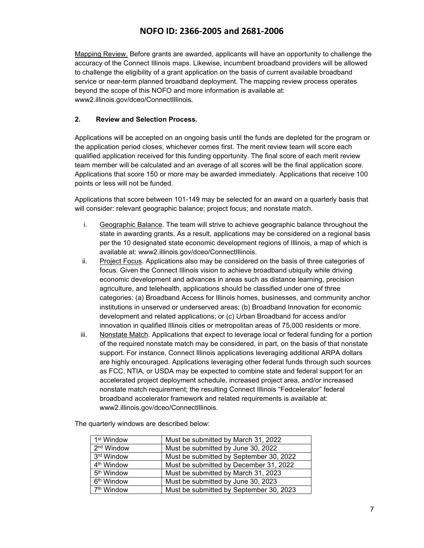Mapping Review. Before grants are awarded, applicants will have an opportunity to challenge the accuracy of the Connect Illinois maps. Likewise, incumbent broadband providers will be allowed to challenge the eligibility of a grant application on the basis of current available broadband service or near-term planned broadband deployment. The mapping review process operates beyond the scope of this NOFO and more information is available at: www2.illinois.gov/dceo/ConnectIllinois.

#### **2. Review and Selection Process.**

Applications will be accepted on an ongoing basis until the funds are depleted for the program or the application period closes, whichever comes first. The merit review team will score each qualified application received for this funding opportunity. The final score of each merit review team member will be calculated and an average of all scores will be the final application score. Applications that score 150 or more may be awarded immediately. Applications that receive 100 points or less will not be funded.

Applications that score between 101-149 may be selected for an award on a quarterly basis that will consider: relevant geographic balance; project focus; and nonstate match.

- i. Geographic Balance. The team will strive to achieve geographic balance throughout the state in awarding grants. As a result, applications may be considered on a regional basis per the 10 designated state economic development regions of Illinois, a map of which is available at: www2.illinois.gov/dceo/ConnectIllinois.
- ii. Project Focus. Applications also may be considered on the basis of three categories of focus. Given the Connect Illinois vision to achieve broadband ubiquity while driving economic development and advances in areas such as distance learning, precision agriculture, and telehealth, applications should be classified under one of three categories: (a) Broadband Access for Illinois homes, businesses, and community anchor institutions in unserved or underserved areas; (b) Broadband Innovation for economic development and related applications; or (c) Urban Broadband for access and/or innovation in qualified Illinois cities or metropolitan areas of 75,000 residents or more.
- iii. Nonstate Match. Applications that expect to leverage local or federal funding for a portion of the required nonstate match may be considered, in part, on the basis of that nonstate support. For instance, Connect Illinois applications leveraging additional ARPA dollars are highly encouraged. Applications leveraging other federal funds through such sources as FCC, NTIA, or USDA may be expected to combine state and federal support for an accelerated project deployment schedule, increased project area, and/or increased nonstate match requirement; the resulting Connect Illinois "Fedcelerator" federal broadband accelerator framework and related requirements is available at: www2.illinois.gov/dceo/ConnectIllinois.

The quarterly windows are described below:

| 1 <sup>st</sup> Window | Must be submitted by March 31, 2022     |
|------------------------|-----------------------------------------|
| 2 <sup>nd</sup> Window | Must be submitted by June 30, 2022      |
| 3rd Window             | Must be submitted by September 30, 2022 |
| 4 <sup>th</sup> Window | Must be submitted by December 31, 2022  |
| 5 <sup>th</sup> Window | Must be submitted by March 31, 2023     |
| 6 <sup>th</sup> Window | Must be submitted by June 30, 2023      |
| 7 <sup>th</sup> Window | Must be submitted by September 30, 2023 |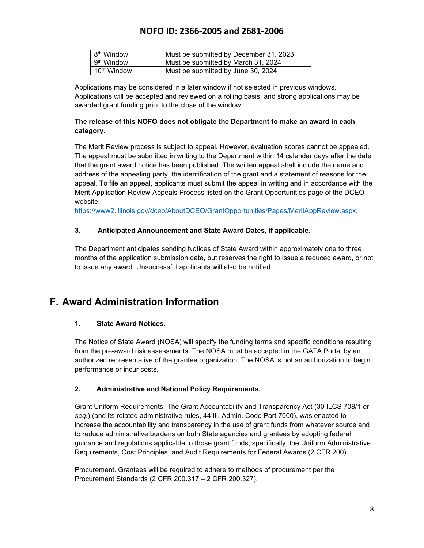| 8 <sup>th</sup> Window  | Must be submitted by December 31, 2023 |
|-------------------------|----------------------------------------|
| 9 <sup>th</sup> Window  | Must be submitted by March 31, 2024    |
| 10 <sup>th</sup> Window | Must be submitted by June 30, 2024     |

Applications may be considered in a later window if not selected in previous windows. Applications will be accepted and reviewed on a rolling basis, and strong applications may be awarded grant funding prior to the close of the window.

#### **The release of this NOFO does not obligate the Department to make an award in each category.**

The Merit Review process is subject to appeal. However, evaluation scores cannot be appealed. The appeal must be submitted in writing to the Department within 14 calendar days after the date that the grant award notice has been published. The written appeal shall include the name and address of the appealing party, the identification of the grant and a statement of reasons for the appeal. To file an appeal, applicants must submit the appeal in writing and in accordance with the Merit Application Review Appeals Process listed on the Grant Opportunities page of the DCEO website:

https://www2.illinois.gov/dceo/AboutDCEO/GrantOpportunities/Pages/MeritAppReview.aspx.

#### **3. Anticipated Announcement and State Award Dates, if applicable.**

The Department anticipates sending Notices of State Award within approximately one to three months of the application submission date, but reserves the right to issue a reduced award, or not to issue any award. Unsuccessful applicants will also be notified.

## **F. Award Administration Information**

#### **1. State Award Notices.**

The Notice of State Award (NOSA) will specify the funding terms and specific conditions resulting from the pre-award risk assessments. The NOSA must be accepted in the GATA Portal by an authorized representative of the grantee organization. The NOSA is not an authorization to begin performance or incur costs.

#### **2. Administrative and National Policy Requirements.**

Grant Uniform Requirements. The Grant Accountability and Transparency Act (30 ILCS 708/1 *et seq*.) (and its related administrative rules, 44 Ill. Admin. Code Part 7000), was enacted to increase the accountability and transparency in the use of grant funds from whatever source and to reduce administrative burdens on both State agencies and grantees by adopting federal guidance and regulations applicable to those grant funds; specifically, the Uniform Administrative Requirements, Cost Principles, and Audit Requirements for Federal Awards (2 CFR 200).

Procurement. Grantees will be required to adhere to methods of procurement per the Procurement Standards (2 CFR 200.317 – 2 CFR 200.327).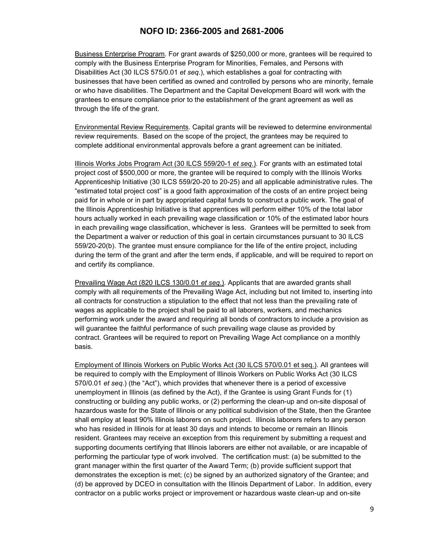Business Enterprise Program. For grant awards of \$250,000 or more, grantees will be required to comply with the Business Enterprise Program for Minorities, Females, and Persons with Disabilities Act (30 ILCS 575/0.01 *et seq*.), which establishes a goal for contracting with businesses that have been certified as owned and controlled by persons who are minority, female or who have disabilities. The Department and the Capital Development Board will work with the grantees to ensure compliance prior to the establishment of the grant agreement as well as through the life of the grant.

Environmental Review Requirements. Capital grants will be reviewed to determine environmental review requirements. Based on the scope of the project, the grantees may be required to complete additional environmental approvals before a grant agreement can be initiated.

Illinois Works Jobs Program Act (30 ILCS 559/20-1 *et seq*.). For grants with an estimated total project cost of \$500,000 or more, the grantee will be required to comply with the Illinois Works Apprenticeship Initiative (30 ILCS 559/20-20 to 20-25) and all applicable administrative rules. The "estimated total project cost" is a good faith approximation of the costs of an entire project being paid for in whole or in part by appropriated capital funds to construct a public work. The goal of the Illinois Apprenticeship Initiative is that apprentices will perform either 10% of the total labor hours actually worked in each prevailing wage classification or 10% of the estimated labor hours in each prevailing wage classification, whichever is less. Grantees will be permitted to seek from the Department a waiver or reduction of this goal in certain circumstances pursuant to 30 ILCS 559/20-20(b). The grantee must ensure compliance for the life of the entire project, including during the term of the grant and after the term ends, if applicable, and will be required to report on and certify its compliance.

Prevailing Wage Act (820 ILCS 130/0.01 *et seq*.). Applicants that are awarded grants shall comply with all requirements of the Prevailing Wage Act, including but not limited to, inserting into all contracts for construction a stipulation to the effect that not less than the prevailing rate of wages as applicable to the project shall be paid to all laborers, workers, and mechanics performing work under the award and requiring all bonds of contractors to include a provision as will guarantee the faithful performance of such prevailing wage clause as provided by contract. Grantees will be required to report on Prevailing Wage Act compliance on a monthly basis.

Employment of Illinois Workers on Public Works Act (30 ILCS 570/0.01 et seq.). All grantees will be required to comply with the Employment of Illinois Workers on Public Works Act (30 ILCS 570/0.01 *et seq*.) (the "Act"), which provides that whenever there is a period of excessive unemployment in Illinois (as defined by the Act), if the Grantee is using Grant Funds for (1) constructing or building any public works, or (2) performing the clean-up and on-site disposal of hazardous waste for the State of Illinois or any political subdivision of the State, then the Grantee shall employ at least 90% Illinois laborers on such project. Illinois laborers refers to any person who has resided in Illinois for at least 30 days and intends to become or remain an Illinois resident. Grantees may receive an exception from this requirement by submitting a request and supporting documents certifying that Illinois laborers are either not available, or are incapable of performing the particular type of work involved. The certification must: (a) be submitted to the grant manager within the first quarter of the Award Term; (b) provide sufficient support that demonstrates the exception is met; (c) be signed by an authorized signatory of the Grantee; and (d) be approved by DCEO in consultation with the Illinois Department of Labor. In addition, every contractor on a public works project or improvement or hazardous waste clean-up and on-site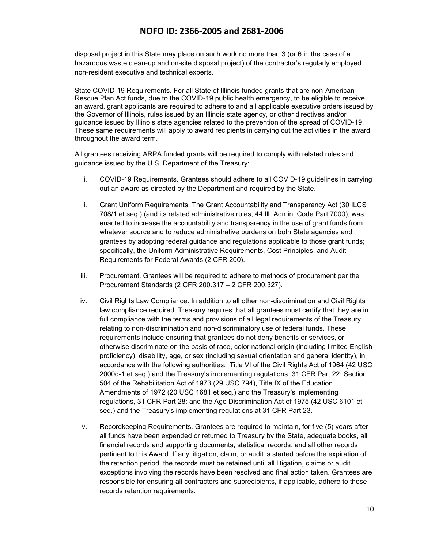disposal project in this State may place on such work no more than 3 (or 6 in the case of a hazardous waste clean-up and on-site disposal project) of the contractor's regularly employed non-resident executive and technical experts.

State COVID-19 Requirements**.** For all State of Illinois funded grants that are non-American Rescue Plan Act funds, due to the COVID-19 public health emergency, to be eligible to receive an award, grant applicants are required to adhere to and all applicable executive orders issued by the Governor of Illinois, rules issued by an Illinois state agency, or other directives and/or guidance issued by Illinois state agencies related to the prevention of the spread of COVID-19. These same requirements will apply to award recipients in carrying out the activities in the award throughout the award term.

All grantees receiving ARPA funded grants will be required to comply with related rules and guidance issued by the U.S. Department of the Treasury:

- i. COVID-19 Requirements. Grantees should adhere to all COVID-19 guidelines in carrying out an award as directed by the Department and required by the State.
- ii. Grant Uniform Requirements. The Grant Accountability and Transparency Act (30 ILCS 708/1 et seq.) (and its related administrative rules, 44 Ill. Admin. Code Part 7000), was enacted to increase the accountability and transparency in the use of grant funds from whatever source and to reduce administrative burdens on both State agencies and grantees by adopting federal guidance and regulations applicable to those grant funds; specifically, the Uniform Administrative Requirements, Cost Principles, and Audit Requirements for Federal Awards (2 CFR 200).
- iii. Procurement. Grantees will be required to adhere to methods of procurement per the Procurement Standards (2 CFR 200.317 – 2 CFR 200.327).
- iv. Civil Rights Law Compliance. In addition to all other non-discrimination and Civil Rights law compliance required, Treasury requires that all grantees must certify that they are in full compliance with the terms and provisions of all legal requirements of the Treasury relating to non-discrimination and non-discriminatory use of federal funds. These requirements include ensuring that grantees do not deny benefits or services, or otherwise discriminate on the basis of race, color national origin (including limited English proficiency), disability, age, or sex (including sexual orientation and general identity), in accordance with the following authorities: Title VI of the Civil Rights Act of 1964 (42 USC 2000d-1 et seq.) and the Treasury's implementing regulations, 31 CFR Part 22; Section 504 of the Rehabilitation Act of 1973 (29 USC 794), Title IX of the Education Amendments of 1972 (20 USC 1681 et seq.) and the Treasury's implementing regulations, 31 CFR Part 28; and the Age Discrimination Act of 1975 (42 USC 6101 et seq.) and the Treasury's implementing regulations at 31 CFR Part 23.
- v. Recordkeeping Requirements. Grantees are required to maintain, for five (5) years after all funds have been expended or returned to Treasury by the State, adequate books, all financial records and supporting documents, statistical records, and all other records pertinent to this Award. If any litigation, claim, or audit is started before the expiration of the retention period, the records must be retained until all litigation, claims or audit exceptions involving the records have been resolved and final action taken. Grantees are responsible for ensuring all contractors and subrecipients, if applicable, adhere to these records retention requirements.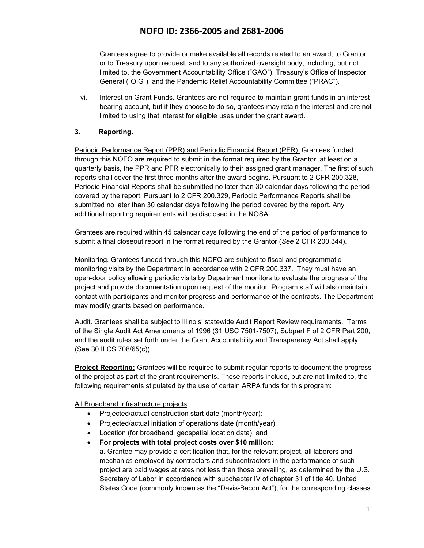Grantees agree to provide or make available all records related to an award, to Grantor or to Treasury upon request, and to any authorized oversight body, including, but not limited to, the Government Accountability Office ("GAO"), Treasury's Office of Inspector General ("OIG"), and the Pandemic Relief Accountability Committee ("PRAC").

vi. Interest on Grant Funds. Grantees are not required to maintain grant funds in an interestbearing account, but if they choose to do so, grantees may retain the interest and are not limited to using that interest for eligible uses under the grant award.

#### **3. Reporting.**

Periodic Performance Report (PPR) and Periodic Financial Report (PFR). Grantees funded through this NOFO are required to submit in the format required by the Grantor, at least on a quarterly basis, the PPR and PFR electronically to their assigned grant manager. The first of such reports shall cover the first three months after the award begins. Pursuant to 2 CFR 200.328, Periodic Financial Reports shall be submitted no later than 30 calendar days following the period covered by the report. Pursuant to 2 CFR 200.329, Periodic Performance Reports shall be submitted no later than 30 calendar days following the period covered by the report. Any additional reporting requirements will be disclosed in the NOSA.

Grantees are required within 45 calendar days following the end of the period of performance to submit a final closeout report in the format required by the Grantor (*See* 2 CFR 200.344).

Monitoring. Grantees funded through this NOFO are subject to fiscal and programmatic monitoring visits by the Department in accordance with 2 CFR 200.337. They must have an open-door policy allowing periodic visits by Department monitors to evaluate the progress of the project and provide documentation upon request of the monitor. Program staff will also maintain contact with participants and monitor progress and performance of the contracts. The Department may modify grants based on performance.

Audit. Grantees shall be subject to Illinois' statewide Audit Report Review requirements. Terms of the Single Audit Act Amendments of 1996 (31 USC 7501-7507), Subpart F of 2 CFR Part 200, and the audit rules set forth under the Grant Accountability and Transparency Act shall apply (See 30 ILCS 708/65(c)).

**Project Reporting:** Grantees will be required to submit regular reports to document the progress of the project as part of the grant requirements. These reports include, but are not limited to, the following requirements stipulated by the use of certain ARPA funds for this program:

All Broadband Infrastructure projects:

- Projected/actual construction start date (month/year);
- Projected/actual initiation of operations date (month/year);
- Location (for broadband, geospatial location data); and
- **For projects with total project costs over \$10 million:**

a. Grantee may provide a certification that, for the relevant project, all laborers and mechanics employed by contractors and subcontractors in the performance of such project are paid wages at rates not less than those prevailing, as determined by the U.S. Secretary of Labor in accordance with subchapter IV of chapter 31 of title 40, United States Code (commonly known as the "Davis-Bacon Act"), for the corresponding classes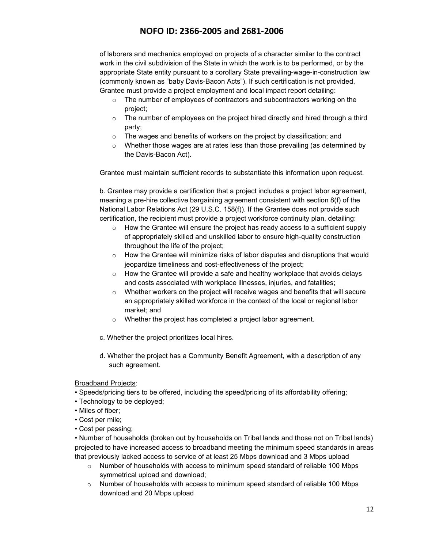of laborers and mechanics employed on projects of a character similar to the contract work in the civil subdivision of the State in which the work is to be performed, or by the appropriate State entity pursuant to a corollary State prevailing-wage-in-construction law (commonly known as "baby Davis-Bacon Acts"). If such certification is not provided, Grantee must provide a project employment and local impact report detailing:

- $\circ$  The number of employees of contractors and subcontractors working on the project;
- o The number of employees on the project hired directly and hired through a third party;
- o The wages and benefits of workers on the project by classification; and
- $\circ$  Whether those wages are at rates less than those prevailing (as determined by the Davis-Bacon Act).

Grantee must maintain sufficient records to substantiate this information upon request.

b. Grantee may provide a certification that a project includes a project labor agreement, meaning a pre-hire collective bargaining agreement consistent with section 8(f) of the National Labor Relations Act (29 U.S.C. 158(f)). If the Grantee does not provide such certification, the recipient must provide a project workforce continuity plan, detailing:

- $\circ$  How the Grantee will ensure the project has ready access to a sufficient supply of appropriately skilled and unskilled labor to ensure high-quality construction throughout the life of the project;
- $\circ$  How the Grantee will minimize risks of labor disputes and disruptions that would jeopardize timeliness and cost-effectiveness of the project;
- $\circ$  How the Grantee will provide a safe and healthy workplace that avoids delays and costs associated with workplace illnesses, injuries, and fatalities;
- $\circ$  Whether workers on the project will receive wages and benefits that will secure an appropriately skilled workforce in the context of the local or regional labor market; and
- o Whether the project has completed a project labor agreement.
- c. Whether the project prioritizes local hires.
- d. Whether the project has a Community Benefit Agreement, with a description of any such agreement.

Broadband Projects:

- Speeds/pricing tiers to be offered, including the speed/pricing of its affordability offering;
- Technology to be deployed;
- Miles of fiber;
- Cost per mile;
- Cost per passing;

• Number of households (broken out by households on Tribal lands and those not on Tribal lands) projected to have increased access to broadband meeting the minimum speed standards in areas that previously lacked access to service of at least 25 Mbps download and 3 Mbps upload

- $\circ$  Number of households with access to minimum speed standard of reliable 100 Mbps symmetrical upload and download;
- $\circ$  Number of households with access to minimum speed standard of reliable 100 Mbps download and 20 Mbps upload